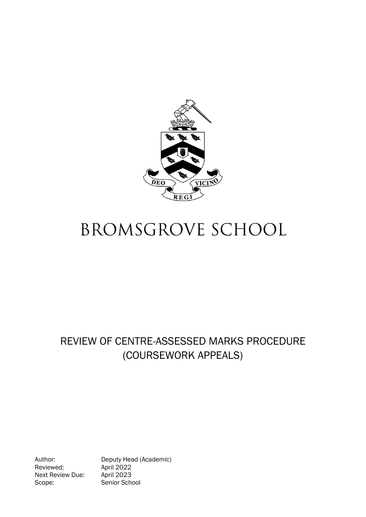

# **BROMSGROVE SCHOOL**

# REVIEW OF CENTRE-ASSESSED MARKS PROCEDURE (COURSEWORK APPEALS)

Reviewed: April 2022<br>Next Review Due: April 2023 Next Review Due: Scope: Senior School

Author: Deputy Head (Academic)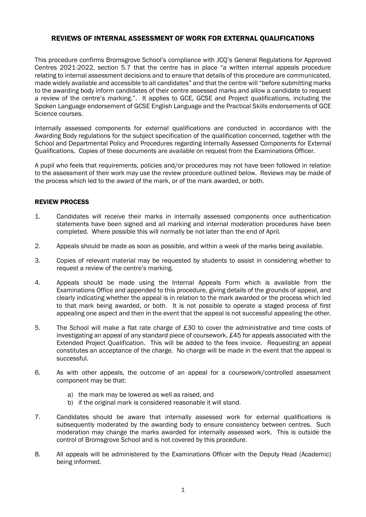### REVIEWS OF INTERNAL ASSESSMENT OF WORK FOR EXTERNAL QUALIFICATIONS

This procedure confirms Bromsgrove School's compliance with JCQ's General Regulations for Approved Centres 2021-2022, section 5.7 that the centre has in place "a written internal appeals procedure relating to internal assessment decisions and to ensure that details of this procedure are communicated, made widely available and accessible to all candidates" and that the centre will "before submitting marks to the awarding body inform candidates of their centre assessed marks and allow a candidate to request a review of the centre's marking.". It applies to GCE, GCSE and Project qualifications, including the Spoken Language endorsement of GCSE English Language and the Practical Skills endorsements of GCE Science courses.

Internally assessed components for external qualifications are conducted in accordance with the Awarding Body regulations for the subject specification of the qualification concerned, together with the School and Departmental Policy and Procedures regarding Internally Assessed Components for External Qualifications. Copies of these documents are available on request from the Examinations Officer.

A pupil who feels that requirements, policies and/or procedures may not have been followed in relation to the assessment of their work may use the review procedure outlined below. Reviews may be made of the process which led to the award of the mark, or of the mark awarded, or both.

#### REVIEW PROCESS

- 1. Candidates will receive their marks in internally assessed components once authentication statements have been signed and all marking and internal moderation procedures have been completed. Where possible this will normally be not later than the end of April.
- 2. Appeals should be made as soon as possible, and within a week of the marks being available.
- 3. Copies of relevant material may be requested by students to assist in considering whether to request a review of the centre's marking.
- 4. Appeals should be made using the Internal Appeals Form which is available from the Examinations Office and appended to this procedure, giving details of the grounds of appeal, and clearly indicating whether the appeal is in relation to the mark awarded or the process which led to that mark being awarded, or both. It is not possible to operate a staged process of first appealing one aspect and then in the event that the appeal is not successful appealing the other.
- 5. The School will make a flat rate charge of £30 to cover the administrative and time costs of investigating an appeal of any standard piece of coursework, £45 for appeals associated with the Extended Project Qualification. This will be added to the fees invoice. Requesting an appeal constitutes an acceptance of the charge. No charge will be made in the event that the appeal is successful.
- 6. As with other appeals, the outcome of an appeal for a coursework/controlled assessment component may be that:
	- a) the mark may be lowered as well as raised, and
	- b) if the original mark is considered reasonable it will stand.
- 7. Candidates should be aware that internally assessed work for external qualifications is subsequently moderated by the awarding body to ensure consistency between centres. Such moderation may change the marks awarded for internally assessed work. This is outside the control of Bromsgrove School and is not covered by this procedure.
- 8. All appeals will be administered by the Examinations Officer with the Deputy Head (Academic) being informed.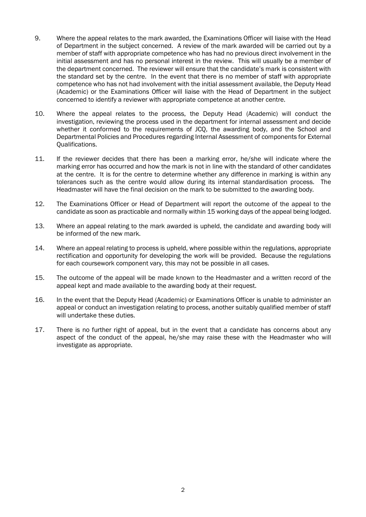- 9. Where the appeal relates to the mark awarded, the Examinations Officer will liaise with the Head of Department in the subject concerned. A review of the mark awarded will be carried out by a member of staff with appropriate competence who has had no previous direct involvement in the initial assessment and has no personal interest in the review. This will usually be a member of the department concerned. The reviewer will ensure that the candidate's mark is consistent with the standard set by the centre. In the event that there is no member of staff with appropriate competence who has not had involvement with the initial assessment available, the Deputy Head (Academic) or the Examinations Officer will liaise with the Head of Department in the subject concerned to identify a reviewer with appropriate competence at another centre.
- 10. Where the appeal relates to the process, the Deputy Head (Academic) will conduct the investigation, reviewing the process used in the department for internal assessment and decide whether it conformed to the requirements of JCQ, the awarding body, and the School and Departmental Policies and Procedures regarding Internal Assessment of components for External Qualifications.
- 11. If the reviewer decides that there has been a marking error, he/she will indicate where the marking error has occurred and how the mark is not in line with the standard of other candidates at the centre. It is for the centre to determine whether any difference in marking is within any tolerances such as the centre would allow during its internal standardisation process. The Headmaster will have the final decision on the mark to be submitted to the awarding body.
- 12. The Examinations Officer or Head of Department will report the outcome of the appeal to the candidate as soon as practicable and normally within 15 working days of the appeal being lodged.
- 13. Where an appeal relating to the mark awarded is upheld, the candidate and awarding body will be informed of the new mark.
- 14. Where an appeal relating to process is upheld, where possible within the regulations, appropriate rectification and opportunity for developing the work will be provided. Because the regulations for each coursework component vary, this may not be possible in all cases.
- 15. The outcome of the appeal will be made known to the Headmaster and a written record of the appeal kept and made available to the awarding body at their request.
- 16. In the event that the Deputy Head (Academic) or Examinations Officer is unable to administer an appeal or conduct an investigation relating to process, another suitably qualified member of staff will undertake these duties.
- 17. There is no further right of appeal, but in the event that a candidate has concerns about any aspect of the conduct of the appeal, he/she may raise these with the Headmaster who will investigate as appropriate.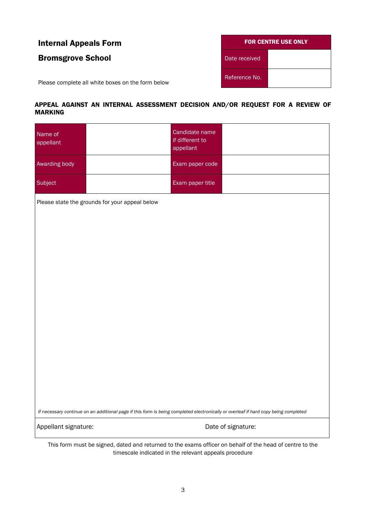| <b>Internal Appeals Form</b>                      | <b>FOR CENTRE USE ONLY</b> |  |
|---------------------------------------------------|----------------------------|--|
| <b>Bromsgrove School</b>                          | Date received              |  |
| Please complete all white boxes on the form below | Reference No.              |  |

# APPEAL AGAINST AN INTERNAL ASSESSMENT DECISION AND/OR REQUEST FOR A REVIEW OF MARKING

| Name of<br>appellant                                                                                                                |  | Candidate name<br>if different to<br>appellant |                    |  |
|-------------------------------------------------------------------------------------------------------------------------------------|--|------------------------------------------------|--------------------|--|
| Awarding body                                                                                                                       |  | Exam paper code                                |                    |  |
| Subject                                                                                                                             |  | Exam paper title                               |                    |  |
| Please state the grounds for your appeal below                                                                                      |  |                                                |                    |  |
|                                                                                                                                     |  |                                                |                    |  |
|                                                                                                                                     |  |                                                |                    |  |
|                                                                                                                                     |  |                                                |                    |  |
|                                                                                                                                     |  |                                                |                    |  |
|                                                                                                                                     |  |                                                |                    |  |
|                                                                                                                                     |  |                                                |                    |  |
|                                                                                                                                     |  |                                                |                    |  |
|                                                                                                                                     |  |                                                |                    |  |
|                                                                                                                                     |  |                                                |                    |  |
|                                                                                                                                     |  |                                                |                    |  |
| If necessary continue on an additional page if this form is being completed electronically or overleaf if hard copy being completed |  |                                                |                    |  |
| Appellant signature:                                                                                                                |  |                                                | Date of signature: |  |
| This form must be signed, dated and returned to the exams officer on behalf of the head of centre to the                            |  |                                                |                    |  |

timescale indicated in the relevant appeals procedure